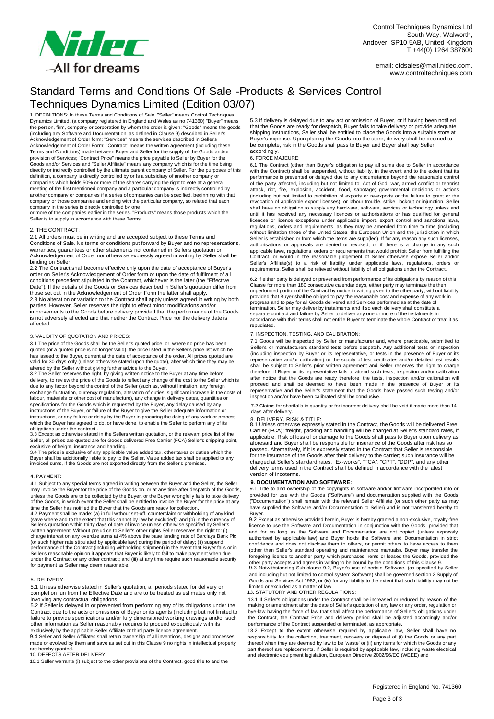

email: ctdsales@mail.nidec.com. www.controltechniques.com

# Standard Terms and Conditions Of Sale -Products & Services Control Techniques Dynamics Limited (Edition 03/07)

1. DEFINITIONS: In these Terms and Conditions of Sale, "Seller" means Control Techniques Dynamics Limited, (a company registered in England and Wales as no 741360) "Buyer" means the person, firm, company or corporation by whom the order is given; "Goods" means the goods (including any Software and Documentation, as defined in Clause 9) described in Seller's Acknowledgement of Order form; "Services" means the services described in Seller's Acknowledgement of Order Form; "Contract" means the written agreement (including these Terms and Conditions) made between Buyer and Seller for the supply of the Goods and/or provision of Services; "Contract Price" means the price payable to Seller by Buyer for the Goods and/or Services and "Seller Affiliate" means any company which is for the time being directly or indirectly controlled by the ultimate parent company of Seller. For the purposes of this definition, a company is directly controlled by or Is a subsidiary of another company or companies which holds 50% or more of the shares carrying the right to vote at a general meeting of the first mentioned company and a particular company is indirectly controlled by another company or companies if a series of companies can be specified, beginning with that company or those companies and ending with the particular company, so related that each company in the series is directly controlled by one or more of the companies earlier in the series. "Products" means those products which the

Seller is to supply in accordance with these Terms.

### 2. THE CONTRACT:

2.1 All orders must be in writing and are accepted subject to these Terms and Conditions of Sale. No terms or conditions put forward by Buyer and no representations, warranties, quarantees or other statements not contained in Seller's quotation or Acknowledgement of Order nor otherwise expressly agreed in writing by Seller shall be binding on Seller.

2.2 The Contract shall become effective only upon the date of acceptance of Buyer's order on Seller's Acknowledgement of Order form or upon the date of fulfilment of all conditions precedent stipulated in the Contract, whichever is the later (the "Effective Date"). If the details of the Goods or Services described in Seller's quotation differ from those set out in the Acknowledgement of Order Form the latter shall apply. 2.3 No alteration or variation to the Contract shall apply unless agreed in writing by both parties. However, Seller reserves the right to effect minor modifications and/or improvements to the Goods before delivery provided that the performance of the Goods is not adversely affected and that neither the Contract Price nor the delivery date is affected

#### 3. VALIDITY OF QUOTATION AND PRICES:

3.1 The price of the Goods shall be the Seller's quoted price, or, where no price has been quoted (or a quoted price is no longer valid), the price listed in the Seller's price list which he has issued to the Buyer, current at the date of acceptance of the order. All prices quoted are valid for 30 days only (unless otherwise stated upon the quote), after which time they may be altered by the Seller without giving further advice to the Buyer. 3.2 The Seller reserves the right, by giving written notice to the Buyer at any time before

delivery, to review the price of the Goods to reflect any change of the cost to the Seller which is due to any factor beyond the control of the Seller (such as, without limitation, any foreign exchange fluctuation, currency regulation, alteration of duties, significant increase in the costs of labour, materials or other cost of manufacture), any change in delivery dates, quantities or specifications for the Goods which is requested by the Buyer, any delay caused by any instructions of the Buyer, or failure of the Buyer to give the Seller adequate information or instructions, or any failure or delay by the Buyer in procuring the doing of any work or process which the Buyer has agreed to do, or have done, to enable the Seller to perform any of its

obligations under the contract.. 3.3 Except as otherwise stated in the Sellers written quotation, or the relevant price list of the Seller, all prices are quoted are for Goods delivered Free Carrier (FCA) Seller's shipping point,

exclusive of freight, insurance and handling.<br>3.4 The price is exclusive of any applicable value added tax, other taxes or duties which the<br>Buyer shall be additionally liable to pay to the Seller. Value added tax shall be

### 4. PAYMENT:

4.1 Subject to any special terms agreed in writing between the Buyer and the Seller, the Seller may invoice the Buyer for the price of the Goods on, or at any time after despatch of the Goods, unless the Goods are to be collected by the Buyer, or the Buyer wrongfully fails to take delivery of the Goods, in which event the Seller shall be entitled to invoice the Buyer for the price at any time the Seller has notified the Buyer that the Goods are ready for collection. 4.2 Payment shall be made: (a) in full without set-off, counterclaim or withholding of any kind<br>(save where and to the extent that this cannot by law be excluded); and (b) in the currency of<br>Seller's quotation within thirt written agreement. Without prejudice to Seller's other rights Seller reserves the right to: (i)<br>charge interest on any overdue sums at 4% above the base lending rate of Barclays Bank Plc<br>(or such higher rate stipulated by under the Contract or any other contract; and (iii) at any time require such reasonable security for payment as Seller may deem reasonable.

#### 5. DELIVERY:

5.1 Unless otherwise stated in Seller's quotation, all periods stated for delivery or completion run from the Effective Date and are to be treated as estimates only not involving any contractual obligations

5.2 If Seller is delayed in or prevented from performing any of its obligations under the Contract due to the acts or omissions of Buyer or its agents (including but not limited to failure to provide specifications and/or

made or evolved by them and save as set out in this Clause 9 no rights in intellectual property are hereby granted. 10. DEFECTS AFTER DELIVERY:

10.1 Seller warrants (i) subject to the other provisions of the Contract, good title to and the

5.3 If delivery is delayed due to any act or omission of Buyer, or if having been notified that the Goods are ready for despatch, Buyer fails to take delivery or provide adequate shipping instructions, Seller shall be entitled to place the Goods into a suitable store at Buyer's expense. Upon placing the Goods into the store, delivery shall be deemed to be complete, risk in the Goods shall pass to Buyer and Buyer shall pay Seller accordingly.

#### 6. FORCE MAJEURE:

6.1 The Contract (other than Buyer's obligation to pay all sums due to Seller in accordance with the Contract) shall be suspended, without liability, in the event and to the extent that its performance is prevented or delayed due to any circumstance beyond the reasonable control of the party affected, including but not limited to: Act of God, war, armed conflict or terrorist attack, riot, fire, explosion, accident, flood, sabotage; governmental decisions or actions (including but not limited to prohibition of exports or re-exports or the failure to grant or the revocation of applicable export licenses), or labour trouble, strike, lockout or injunction. Seller shall have no obligation to supply any hardware, software, services or technology unless and until it has received any necessary licences or authorisations or has qualified for general licences or licence exceptions under applicable import, export control and sanctions laws, regulations, orders and requirements, as they may be amended from time to time (including without limitation those of the United States, the European Union and the jurisdiction in which Seller is established or from which the items are supp(led). If for any reason any such licenses, authorisations or approvals are denied or revoked, or if there is a change in any such applicable laws, regulations, orders or requirements that would prohibit Seller from fulfilling the<br>Contract, or would\_in\_the\_reasonable\_judgement\_of\_Seller\_otherwise\_expose\_Seller\_and/or<br>Seller's\_Affiliate(s)\_to\_a\_risk\_of requirements, Seller shall be relieved without liability of all obligations under the Contract.

6.2 If either party is delayed or prevented from performance of its obligations by reason of this Clause for more than 180 consecutive calendar days, either party may terminate the then unperformed portion of the Contract by notice in writing given to the other party, without liability<br>provided that Buyer shall be obliged to pay the reasonable cost and expense of any work in<br>progress and to pay for all Go termination. Seller may deliver by instalments and if so each delivery shall constitute a separate contract and failure by Seller to deliver any one or more of the instalments in accordance with their terms shall not entitle Buyer to terminate the whole Contract or treat it as repudiated.

#### 7. INSPECTION, TESTING, AND CALIBRATION:

7.1 Goods will be inspected by Seller or manufacturer and, where practicable, submitted to Seller's or manufacturers standard tests before despatch. Any additional tests or inspection (including inspection by Buyer or its representative, or tests in the presence of Buyer or its representative and/or calibration) or the supply of test certificates and/or detailed test results shall be subject to Seller's prior written agreement and Seller reserves the right to charge therefore; if Buyer or its representative fails to attend such tests, inspection and/or calibration after notice that the Goods are ready therefore, the tests, inspection and/or calibration will proceed and shall be deemed to have been made in the presence of Buyer or its representative and the Seller's statement that the Goods have passed such testing and/or inspection and/or have been calibrated shall be conclusive..

7.2 Claims for shortfalls in quantity or for incorrect delivery shall be void if made more than 14 days after delivery.

8.1 Unless otherwise expressly stated in the Contract, the Goods will be delivered Free 8. DELIVERY, RISK & TITLE: Carrier (FCA); freight, packing and handling will be charged at Seller's standard rates, if<br>applicable. Risk of loss of or damage to the Goods shall pass to Buyer upon delivery as<br>aforesaid and Buyer shall be responsible f for the insurance of the Goods after their delivery to the carrier; such insurance will be charged at Seller's standard rates. "Ex-works", "FCA", "CPT", "DDP", and any other delivery terms used in the Contract shall be defined in accordance with the latest version of Incoterms.

## **9. DOCUMENTATION AND SOFTWARE:**

9.1 Title to and ownership of the copyrights in software and/or firmware incorporated into or provided for use with the Goods ("Software") and documentation supplied with the Goods ("Documentation") shall remain with the relevant Seller Affiliate (or such other party as may have supplied the Software and/or Documentation to Seller) and is not transferred hereby to

Buyer. 9.2 Except as otherwise provided herein, Buyer is hereby granted a non-exclusive, royalty-free licence to use the Software and Documentation in conjunction with the Goods, provided that and for so long as the Software and Documentation are not copied (unless expressly authorised by applicable law) and Buyer holds the Software and Documentation in strict confidence and does not disclose them to others, or permit others to have access to them (other than Seller's standard operating and maintenance manuals). Buyer may transfer the foregoing licence to another party which purchases, rents or leases the Goods, provided the

other party accepts and agrees in writing to be bound by the conditions of this Clause 9. 9.3 Notwithstanding Sub-clause 9.2, Buyer's use of certain Software, (as specified by Seller and including but not limited to control system Software) shall be governed section 2 Supply of Goods and Services Act 1982, or (iv) for any liability to the extent that such liability may not be limited or excluded as a matter of law 13. STATUTORY AND OTHER REGULA TIONS:

13.1 If Seller's obligations under the Contract shall be increased or reduced by reason of the making or amendment after the date of Seller's quotation of any law or any order, regulation or bye-law having the force of law that shall affect the performance of Seller's obligations under the Contract, the Contract Price and delivery period shall be adjusted accordingly and/or performance of the Contract suspended or terminated, as appropriate.

13.2 Except to the extent otherwise required by applicable law, Seller shall have no responsibility for the collection, treatment, recovery or disposal of (i) the Goods or any part thereof when they are deemed by law to be 'waste' or (ii) any items for which the Goods or any<br>part thereof are replacements. If Seller is required by applicable law, including waste electrical<br>and electronic equipment leg